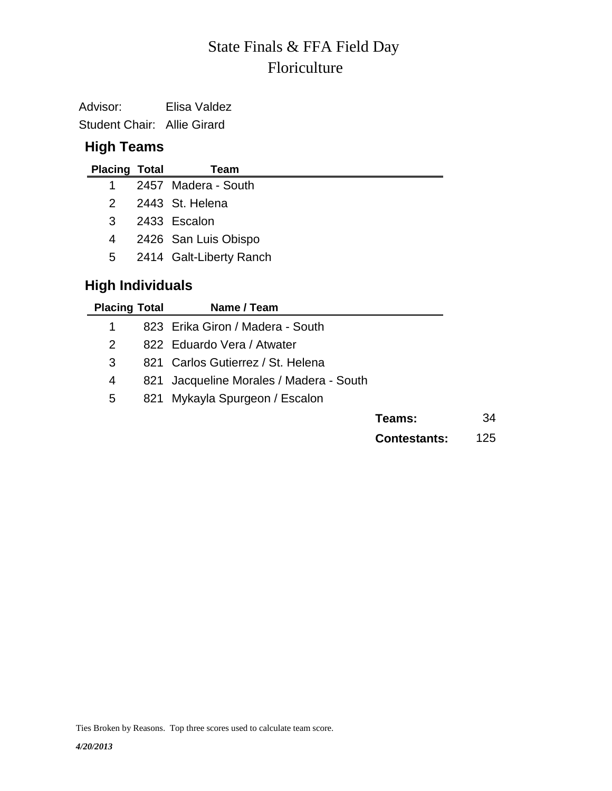# Floriculture State Finals & FFA Field Day

Advisor: Elisa Valdez Student Chair: Allie Girard

### **High Teams**

| <b>Placing Total</b>    | Team                      |
|-------------------------|---------------------------|
| 1                       | 2457 Madera - South       |
| $2^{\circ}$             | 2443 St. Helena           |
| 3                       | 2433 Escalon              |
| 4                       | 2426 San Luis Obispo      |
|                         | 5 2414 Galt-Liberty Ranch |
| <b>High Individuals</b> |                           |

| <b>Placing Total</b> | Name / Team                             |                     |     |
|----------------------|-----------------------------------------|---------------------|-----|
| 1                    | 823 Erika Giron / Madera - South        |                     |     |
| 2                    | 822 Eduardo Vera / Atwater              |                     |     |
| 3                    | 821 Carlos Gutierrez / St. Helena       |                     |     |
| 4                    | 821 Jacqueline Morales / Madera - South |                     |     |
| 5                    | 821 Mykayla Spurgeon / Escalon          |                     |     |
|                      |                                         | Teams:              | 34  |
|                      |                                         | <b>Contestants:</b> | 125 |

Ties Broken by Reasons. Top three scores used to calculate team score.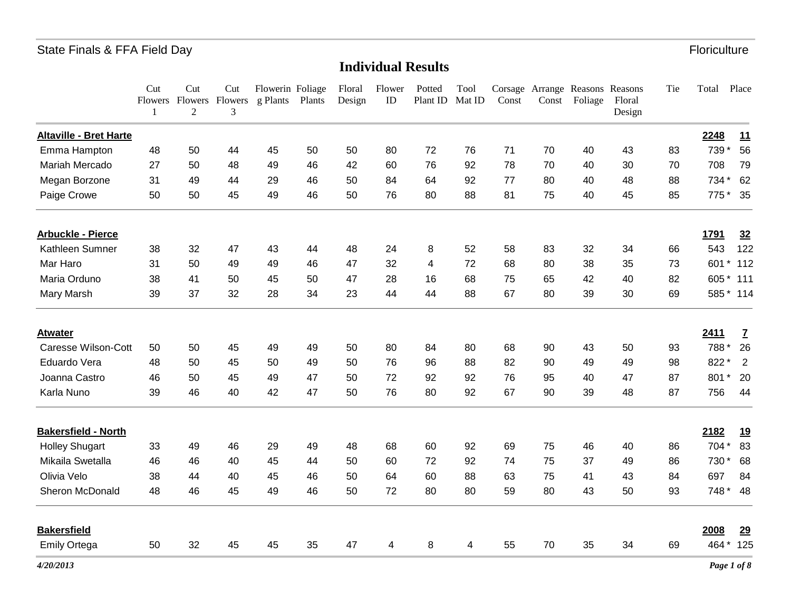|                               | Cut<br>$\mathbf{1}$ | Cut<br>$\overline{2}$ | Cut<br>Flowers Flowers Flowers<br>3 | Flowerin Foliage<br>g Plants | Plants | Floral<br>Design | Flower<br>ID   | Potted<br>Plant ID | Tool<br>Mat ID | Const | Const | Corsage Arrange Reasons Reasons<br>Foliage | Floral<br>Design | Tie | Total          | Place          |
|-------------------------------|---------------------|-----------------------|-------------------------------------|------------------------------|--------|------------------|----------------|--------------------|----------------|-------|-------|--------------------------------------------|------------------|-----|----------------|----------------|
| <b>Altaville - Bret Harte</b> |                     |                       |                                     |                              |        |                  |                |                    |                |       |       |                                            |                  |     | 2248           | 11             |
| Emma Hampton                  | 48                  | 50                    | 44                                  | 45                           | 50     | 50               | 80             | 72                 | 76             | 71    | 70    | 40                                         | 43               | 83  | 739 *          | 56             |
| Mariah Mercado                | 27                  | 50                    | 48                                  | 49                           | 46     | 42               | 60             | 76                 | 92             | 78    | 70    | 40                                         | 30               | 70  | 708            | 79             |
| Megan Borzone                 | 31                  | 49                    | 44                                  | 29                           | 46     | 50               | 84             | 64                 | 92             | 77    | 80    | 40                                         | 48               | 88  | 734 *          | 62             |
| Paige Crowe                   | 50                  | 50                    | 45                                  | 49                           | 46     | 50               | 76             | 80                 | 88             | 81    | 75    | 40                                         | 45               | 85  | 775            | 35             |
| <b>Arbuckle - Pierce</b>      |                     |                       |                                     |                              |        |                  |                |                    |                |       |       |                                            |                  |     | 1791           | 32             |
| Kathleen Sumner               | 38                  | 32                    | 47                                  | 43                           | 44     | 48               | 24             | 8                  | 52             | 58    | 83    | 32                                         | 34               | 66  | 543            | 122            |
| Mar Haro                      | 31                  | 50                    | 49                                  | 49                           | 46     | 47               | 32             | 4                  | 72             | 68    | 80    | 38                                         | 35               | 73  | 601            | 112<br>$\star$ |
| Maria Orduno                  | 38                  | 41                    | 50                                  | 45                           | 50     | 47               | 28             | 16                 | 68             | 75    | 65    | 42                                         | 40               | 82  | 605            | $*111$         |
| Mary Marsh                    | 39                  | 37                    | 32                                  | 28                           | 34     | 23               | 44             | 44                 | 88             | 67    | 80    | 39                                         | 30               | 69  |                | 585 * 114      |
| <b>Atwater</b>                |                     |                       |                                     |                              |        |                  |                |                    |                |       |       |                                            |                  |     | 2411           | Z              |
| <b>Caresse Wilson-Cott</b>    | 50                  | 50                    | 45                                  | 49                           | 49     | 50               | 80             | 84                 | 80             | 68    | 90    | 43                                         | 50               | 93  | 788            | 26             |
| Eduardo Vera                  | 48                  | 50                    | 45                                  | 50                           | 49     | 50               | 76             | 96                 | 88             | 82    | 90    | 49                                         | 49               | 98  | 822 *          | 2              |
| Joanna Castro                 | 46                  | 50                    | 45                                  | 49                           | 47     | 50               | 72             | 92                 | 92             | 76    | 95    | 40                                         | 47               | 87  | 801<br>$\star$ | 20             |
| Karla Nuno                    | 39                  | 46                    | 40                                  | 42                           | 47     | 50               | 76             | 80                 | 92             | 67    | 90    | 39                                         | 48               | 87  | 756            | 44             |
| <b>Bakersfield - North</b>    |                     |                       |                                     |                              |        |                  |                |                    |                |       |       |                                            |                  |     | 2182           | <u>19</u>      |
| <b>Holley Shugart</b>         | 33                  | 49                    | 46                                  | 29                           | 49     | 48               | 68             | 60                 | 92             | 69    | 75    | 46                                         | 40               | 86  | 704 *          | 83             |
| Mikaila Swetalla              | 46                  | 46                    | 40                                  | 45                           | 44     | 50               | 60             | 72                 | 92             | 74    | 75    | 37                                         | 49               | 86  | 730*           | 68             |
| Olivia Velo                   | 38                  | 44                    | 40                                  | 45                           | 46     | 50               | 64             | 60                 | 88             | 63    | 75    | 41                                         | 43               | 84  | 697            | 84             |
| Sheron McDonald               | 48                  | 46                    | 45                                  | 49                           | 46     | 50               | 72             | 80                 | 80             | 59    | 80    | 43                                         | 50               | 93  |                | 748 * 48       |
| <b>Bakersfield</b>            |                     |                       |                                     |                              |        |                  |                |                    |                |       |       |                                            |                  |     | 2008           | 29             |
| <b>Emily Ortega</b>           | 50                  | 32                    | 45                                  | 45                           | 35     | 47               | $\overline{4}$ | 8                  | $\overline{4}$ | 55    | 70    | 35                                         | 34               | 69  |                | 464 * 125      |
| 4/20/2013                     |                     |                       |                                     |                              |        |                  |                |                    |                |       |       |                                            |                  |     |                | Page 1 of 8    |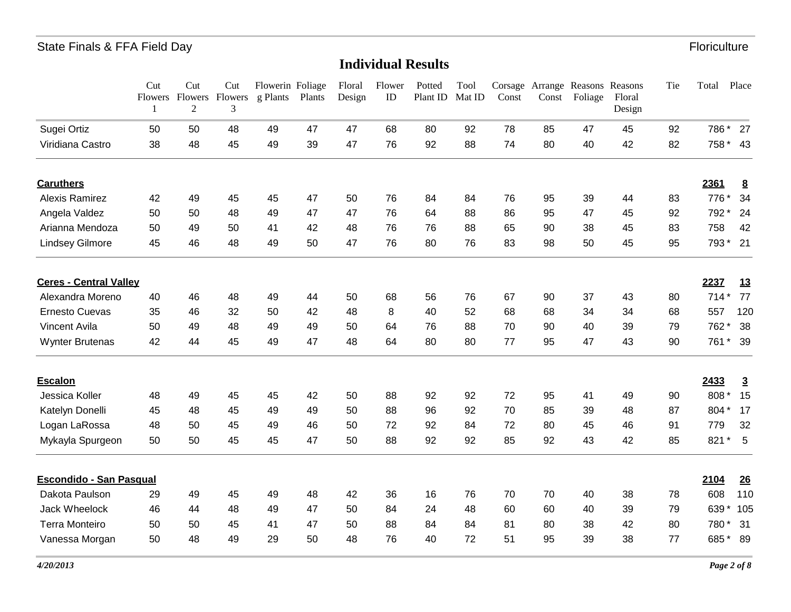|                                | Cut | Cut<br>Flowers Flowers<br>$\overline{2}$ | Cut<br>Flowers<br>3 | Flowerin Foliage<br>g Plants | Plants | Floral<br>Design | Flower<br>ID | Potted<br>Plant ID | Tool<br>Mat ID | $\mathop{\mathsf{Const}}$ | Const | Corsage Arrange Reasons Reasons<br>Foliage | Floral<br>Design | Tie | Total          | Place           |
|--------------------------------|-----|------------------------------------------|---------------------|------------------------------|--------|------------------|--------------|--------------------|----------------|---------------------------|-------|--------------------------------------------|------------------|-----|----------------|-----------------|
| Sugei Ortiz                    | 50  | 50                                       | 48                  | 49                           | 47     | 47               | 68           | 80                 | 92             | 78                        | 85    | 47                                         | 45               | 92  | 786*           | 27              |
| Viridiana Castro               | 38  | 48                                       | 45                  | 49                           | 39     | 47               | 76           | 92                 | 88             | 74                        | 80    | 40                                         | 42               | 82  | 758 *          | 43              |
| <b>Caruthers</b>               |     |                                          |                     |                              |        |                  |              |                    |                |                           |       |                                            |                  |     | 2361           | $\underline{8}$ |
| <b>Alexis Ramirez</b>          | 42  | 49                                       | 45                  | 45                           | 47     | 50               | 76           | 84                 | 84             | 76                        | 95    | 39                                         | 44               | 83  | 776            | 34              |
| Angela Valdez                  | 50  | 50                                       | 48                  | 49                           | 47     | 47               | 76           | 64                 | 88             | 86                        | 95    | 47                                         | 45               | 92  | 792 *          | 24              |
| Arianna Mendoza                | 50  | 49                                       | 50                  | 41                           | 42     | 48               | 76           | 76                 | 88             | 65                        | 90    | 38                                         | 45               | 83  | 758            | 42              |
| <b>Lindsey Gilmore</b>         | 45  | 46                                       | 48                  | 49                           | 50     | 47               | 76           | 80                 | 76             | 83                        | 98    | 50                                         | 45               | 95  | 793*           | 21              |
| <b>Ceres - Central Valley</b>  |     |                                          |                     |                              |        |                  |              |                    |                |                           |       |                                            |                  |     | 2237           | <u>13</u>       |
| Alexandra Moreno               | 40  | 46                                       | 48                  | 49                           | 44     | 50               | 68           | 56                 | 76             | 67                        | 90    | 37                                         | 43               | 80  | $714*$         | 77              |
| <b>Ernesto Cuevas</b>          | 35  | 46                                       | 32                  | 50                           | 42     | 48               | 8            | 40                 | 52             | 68                        | 68    | 34                                         | 34               | 68  | 557            | 120             |
| <b>Vincent Avila</b>           | 50  | 49                                       | 48                  | 49                           | 49     | 50               | 64           | 76                 | 88             | 70                        | 90    | 40                                         | 39               | 79  | 762            | 38              |
| <b>Wynter Brutenas</b>         | 42  | 44                                       | 45                  | 49                           | 47     | 48               | 64           | 80                 | 80             | 77                        | 95    | 47                                         | 43               | 90  | 761 *          | 39              |
| <b>Escalon</b>                 |     |                                          |                     |                              |        |                  |              |                    |                |                           |       |                                            |                  |     | 2433           | $\overline{3}$  |
| Jessica Koller                 | 48  | 49                                       | 45                  | 45                           | 42     | 50               | 88           | 92                 | 92             | 72                        | 95    | 41                                         | 49               | 90  | 808*           | 15              |
| Katelyn Donelli                | 45  | 48                                       | 45                  | 49                           | 49     | 50               | 88           | 96                 | 92             | 70                        | 85    | 39                                         | 48               | 87  | 804*           | 17              |
| Logan LaRossa                  | 48  | 50                                       | 45                  | 49                           | 46     | 50               | 72           | 92                 | 84             | 72                        | 80    | 45                                         | 46               | 91  | 779            | 32              |
| Mykayla Spurgeon               | 50  | 50                                       | 45                  | 45                           | 47     | 50               | 88           | 92                 | 92             | 85                        | 92    | 43                                         | 42               | 85  | 821<br>$\star$ | 5               |
| <b>Escondido - San Pasqual</b> |     |                                          |                     |                              |        |                  |              |                    |                |                           |       |                                            |                  |     | 2104           | 26              |
| Dakota Paulson                 | 29  | 49                                       | 45                  | 49                           | 48     | 42               | 36           | 16                 | 76             | 70                        | 70    | 40                                         | 38               | 78  | 608            | 110             |
| <b>Jack Wheelock</b>           | 46  | 44                                       | 48                  | 49                           | 47     | 50               | 84           | 24                 | 48             | 60                        | 60    | 40                                         | 39               | 79  | 639<br>*       | 105             |
| <b>Terra Monteiro</b>          | 50  | 50                                       | 45                  | 41                           | 47     | 50               | 88           | 84                 | 84             | 81                        | 80    | 38                                         | 42               | 80  | 780*           | 31              |
| Vanessa Morgan                 | 50  | 48                                       | 49                  | 29                           | 50     | 48               | 76           | 40                 | 72             | 51                        | 95    | 39                                         | 38               | 77  | 685*           | 89              |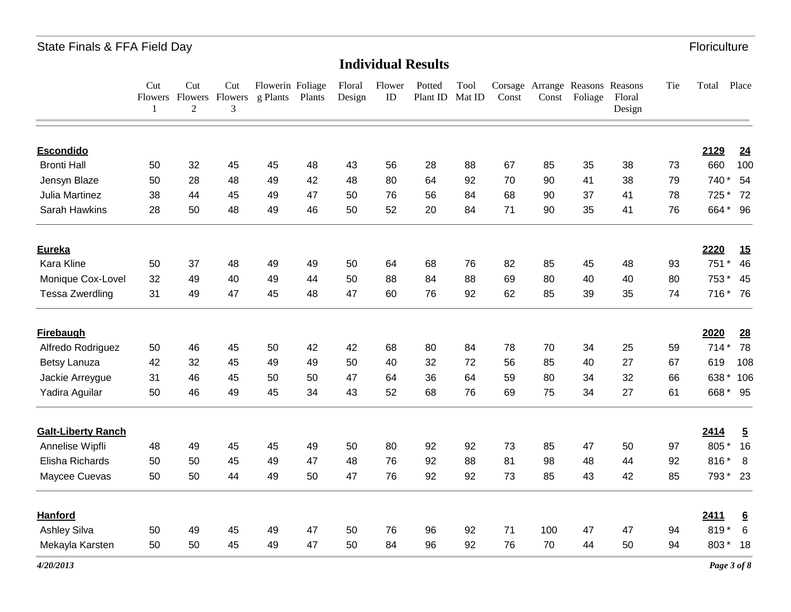|                           | Cut<br>1 | Cut<br>$\mathfrak{2}$ | Cut<br>Flowers Flowers Flowers<br>3 | Flowerin Foliage<br>g Plants | Plants | Floral<br>Design | Flower<br>ID | Potted<br>Plant ID | Tool<br>Mat ID | Const | Const | Corsage Arrange Reasons Reasons<br>Foliage | Floral<br>Design | Tie | Total          | Place           |
|---------------------------|----------|-----------------------|-------------------------------------|------------------------------|--------|------------------|--------------|--------------------|----------------|-------|-------|--------------------------------------------|------------------|-----|----------------|-----------------|
| <b>Escondido</b>          |          |                       |                                     |                              |        |                  |              |                    |                |       |       |                                            |                  |     | 2129           | 24              |
| <b>Bronti Hall</b>        | 50       | 32                    | 45                                  | 45                           | 48     | 43               | 56           | 28                 | 88             | 67    | 85    | 35                                         | 38               | 73  | 660            | 100             |
| Jensyn Blaze              | 50       | 28                    | 48                                  | 49                           | 42     | 48               | 80           | 64                 | 92             | 70    | 90    | 41                                         | 38               | 79  | 740*           | 54              |
| Julia Martinez            | 38       | 44                    | 45                                  | 49                           | 47     | 50               | 76           | 56                 | 84             | 68    | 90    | 37                                         | 41               | 78  | 725 *          | 72              |
| Sarah Hawkins             | 28       | 50                    | 48                                  | 49                           | 46     | 50               | 52           | 20                 | 84             | 71    | 90    | 35                                         | 41               | 76  | 664* 96        |                 |
| Eureka                    |          |                       |                                     |                              |        |                  |              |                    |                |       |       |                                            |                  |     | 2220           | <u>15</u>       |
| Kara Kline                | 50       | 37                    | 48                                  | 49                           | 49     | 50               | 64           | 68                 | 76             | 82    | 85    | 45                                         | 48               | 93  | 751<br>$\star$ | 46              |
| Monique Cox-Lovel         | 32       | 49                    | 40                                  | 49                           | 44     | 50               | 88           | 84                 | 88             | 69    | 80    | 40                                         | 40               | 80  | 753*           | 45              |
| <b>Tessa Zwerdling</b>    | 31       | 49                    | 47                                  | 45                           | 48     | 47               | 60           | 76                 | 92             | 62    | 85    | 39                                         | 35               | 74  | 716 * 76       |                 |
| <b>Firebaugh</b>          |          |                       |                                     |                              |        |                  |              |                    |                |       |       |                                            |                  |     | 2020           | 28              |
| Alfredo Rodriguez         | 50       | 46                    | 45                                  | 50                           | 42     | 42               | 68           | 80                 | 84             | 78    | 70    | 34                                         | 25               | 59  | $714*$         | 78              |
| Betsy Lanuza              | 42       | 32                    | 45                                  | 49                           | 49     | 50               | 40           | 32                 | 72             | 56    | 85    | 40                                         | 27               | 67  | 619            | 108             |
| Jackie Arreygue           | 31       | 46                    | 45                                  | 50                           | 50     | 47               | 64           | 36                 | 64             | 59    | 80    | 34                                         | 32               | 66  | 638*           | 106             |
| Yadira Aguilar            | 50       | 46                    | 49                                  | 45                           | 34     | 43               | 52           | 68                 | 76             | 69    | 75    | 34                                         | 27               | 61  | 668 * 95       |                 |
| <b>Galt-Liberty Ranch</b> |          |                       |                                     |                              |        |                  |              |                    |                |       |       |                                            |                  |     | 2414           | $\overline{5}$  |
| Annelise Wipfli           | 48       | 49                    | 45                                  | 45                           | 49     | 50               | 80           | 92                 | 92             | 73    | 85    | 47                                         | 50               | 97  | 805*           | 16              |
| Elisha Richards           | 50       | 50                    | 45                                  | 49                           | 47     | 48               | 76           | 92                 | 88             | 81    | 98    | 48                                         | 44               | 92  | 816*           | 8 <sup>8</sup>  |
| Maycee Cuevas             | 50       | 50                    | 44                                  | 49                           | 50     | 47               | 76           | 92                 | 92             | 73    | 85    | 43                                         | 42               | 85  | 793 * 23       |                 |
| <b>Hanford</b>            |          |                       |                                     |                              |        |                  |              |                    |                |       |       |                                            |                  |     | 2411           | $6\overline{6}$ |
| <b>Ashley Silva</b>       | 50       | 49                    | 45                                  | 49                           | 47     | 50               | 76           | 96                 | 92             | 71    | 100   | 47                                         | 47               | 94  | 819            | 6               |
| Mekayla Karsten           | 50       | 50                    | 45                                  | 49                           | 47     | 50               | 84           | 96                 | 92             | 76    | 70    | 44                                         | 50               | 94  | 803* 18        |                 |
| 4/20/2013                 |          |                       |                                     |                              |        |                  |              |                    |                |       |       |                                            |                  |     | Page 3 of 8    |                 |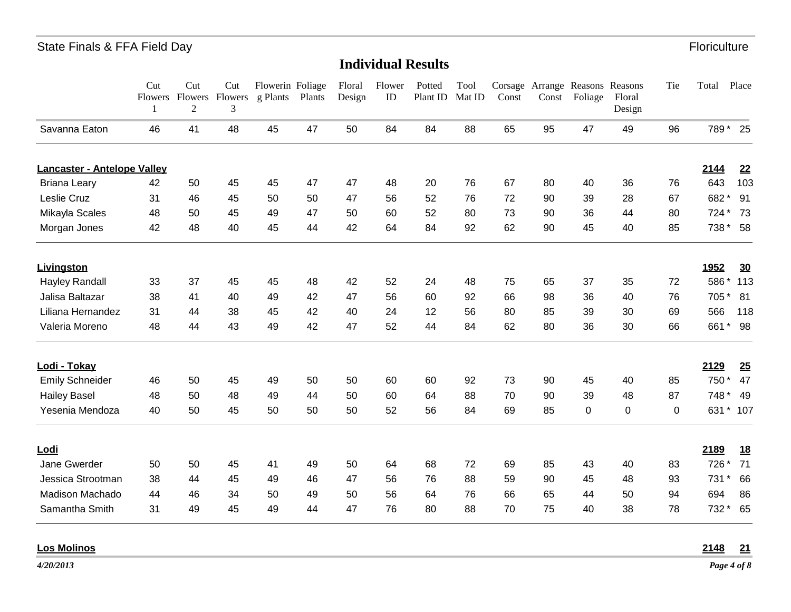## **Individual Results**

|                                    | Cut<br>$\mathbf{1}$ | Cut<br>Flowers Flowers Flowers<br>$\overline{2}$ | Cut<br>3 | Flowerin Foliage<br>g Plants Plants |    | Floral<br>Design | Flower<br>ID | Potted<br>Plant ID | Tool<br>Mat ID | Const |    | Corsage Arrange Reasons Reasons<br>Const Foliage | Floral<br>Design | Tie | Total | Place     |
|------------------------------------|---------------------|--------------------------------------------------|----------|-------------------------------------|----|------------------|--------------|--------------------|----------------|-------|----|--------------------------------------------------|------------------|-----|-------|-----------|
| Savanna Eaton                      | 46                  | 41                                               | 48       | 45                                  | 47 | 50               | 84           | 84                 | 88             | 65    | 95 | 47                                               | 49               | 96  |       | 789 * 25  |
| <b>Lancaster - Antelope Valley</b> |                     |                                                  |          |                                     |    |                  |              |                    |                |       |    |                                                  |                  |     | 2144  | 22        |
| <b>Briana Leary</b>                | 42                  | 50                                               | 45       | 45                                  | 47 | 47               | 48           | 20                 | 76             | 67    | 80 | 40                                               | 36               | 76  | 643   | 103       |
| Leslie Cruz                        | 31                  | 46                                               | 45       | 50                                  | 50 | 47               | 56           | 52                 | 76             | 72    | 90 | 39                                               | 28               | 67  | 682*  | 91        |
| Mikayla Scales                     | 48                  | 50                                               | 45       | 49                                  | 47 | 50               | 60           | 52                 | 80             | 73    | 90 | 36                                               | 44               | 80  | 724   | 73        |
| Morgan Jones                       | 42                  | 48                                               | 40       | 45                                  | 44 | 42               | 64           | 84                 | 92             | 62    | 90 | 45                                               | 40               | 85  | 738 * | 58        |
| <b>Livingston</b>                  |                     |                                                  |          |                                     |    |                  |              |                    |                |       |    |                                                  |                  |     | 1952  | 30        |
| <b>Hayley Randall</b>              | 33                  | 37                                               | 45       | 45                                  | 48 | 42               | 52           | 24                 | 48             | 75    | 65 | 37                                               | 35               | 72  | 586*  | 113       |
| Jalisa Baltazar                    | 38                  | 41                                               | 40       | 49                                  | 42 | 47               | 56           | 60                 | 92             | 66    | 98 | 36                                               | 40               | 76  | 705*  | 81        |
| Liliana Hernandez                  | 31                  | 44                                               | 38       | 45                                  | 42 | 40               | 24           | 12                 | 56             | 80    | 85 | 39                                               | 30               | 69  | 566   | 118       |
| Valeria Moreno                     | 48                  | 44                                               | 43       | 49                                  | 42 | 47               | 52           | 44                 | 84             | 62    | 80 | 36                                               | 30               | 66  |       | 661 * 98  |
| Lodi - Tokay                       |                     |                                                  |          |                                     |    |                  |              |                    |                |       |    |                                                  |                  |     | 2129  | 25        |
| <b>Emily Schneider</b>             | 46                  | 50                                               | 45       | 49                                  | 50 | 50               | 60           | 60                 | 92             | 73    | 90 | 45                                               | 40               | 85  | 750*  | 47        |
| <b>Hailey Basel</b>                | 48                  | 50                                               | 48       | 49                                  | 44 | 50               | 60           | 64                 | 88             | 70    | 90 | 39                                               | 48               | 87  | 748*  | 49        |
| Yesenia Mendoza                    | 40                  | 50                                               | 45       | 50                                  | 50 | 50               | 52           | 56                 | 84             | 69    | 85 | 0                                                | $\pmb{0}$        | 0   |       | 631 * 107 |
| <u>Lodi</u>                        |                     |                                                  |          |                                     |    |                  |              |                    |                |       |    |                                                  |                  |     | 2189  | <u>18</u> |
| Jane Gwerder                       | 50                  | 50                                               | 45       | 41                                  | 49 | 50               | 64           | 68                 | 72             | 69    | 85 | 43                                               | 40               | 83  | 726 * | 71        |
| Jessica Strootman                  | 38                  | 44                                               | 45       | 49                                  | 46 | 47               | 56           | 76                 | 88             | 59    | 90 | 45                                               | 48               | 93  | 731 * | 66        |
| Madison Machado                    | 44                  | 46                                               | 34       | 50                                  | 49 | 50               | 56           | 64                 | 76             | 66    | 65 | 44                                               | 50               | 94  | 694   | 86        |
| Samantha Smith                     | 31                  | 49                                               | 45       | 49                                  | 44 | 47               | 76           | 80                 | 88             | 70    | 75 | 40                                               | 38               | 78  | 732 * | 65        |
|                                    |                     |                                                  |          |                                     |    |                  |              |                    |                |       |    |                                                  |                  |     |       |           |

**Los Molinos 2148 21**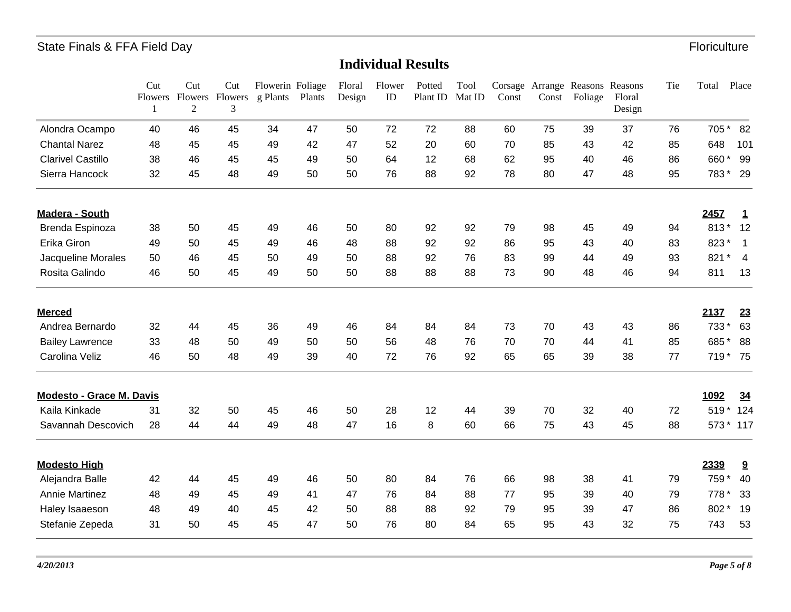|                                 | Cut | Cut<br>Flowers Flowers Flowers<br>$\overline{2}$ | Cut<br>3 | Flowerin Foliage<br>g Plants | Plants | Floral<br>Design | Flower<br>ID | Potted<br>Plant ID | Tool<br>Mat ID | Const | Const | Corsage Arrange Reasons Reasons<br>Foliage | Floral<br>Design | Tie | Total | Place                    |
|---------------------------------|-----|--------------------------------------------------|----------|------------------------------|--------|------------------|--------------|--------------------|----------------|-------|-------|--------------------------------------------|------------------|-----|-------|--------------------------|
| Alondra Ocampo                  | 40  | 46                                               | 45       | 34                           | 47     | 50               | 72           | 72                 | 88             | 60    | 75    | 39                                         | 37               | 76  | 705*  | 82                       |
| <b>Chantal Narez</b>            | 48  | 45                                               | 45       | 49                           | 42     | 47               | 52           | 20                 | 60             | 70    | 85    | 43                                         | 42               | 85  | 648   | 101                      |
| <b>Clarivel Castillo</b>        | 38  | 46                                               | 45       | 45                           | 49     | 50               | 64           | 12                 | 68             | 62    | 95    | 40                                         | 46               | 86  | 660*  | 99                       |
| Sierra Hancock                  | 32  | 45                                               | 48       | 49                           | 50     | 50               | 76           | 88                 | 92             | 78    | 80    | 47                                         | 48               | 95  | 783*  | 29                       |
| Madera - South                  |     |                                                  |          |                              |        |                  |              |                    |                |       |       |                                            |                  |     | 2457  | 1                        |
| Brenda Espinoza                 | 38  | 50                                               | 45       | 49                           | 46     | 50               | 80           | 92                 | 92             | 79    | 98    | 45                                         | 49               | 94  | 813*  | 12                       |
| Erika Giron                     | 49  | 50                                               | 45       | 49                           | 46     | 48               | 88           | 92                 | 92             | 86    | 95    | 43                                         | 40               | 83  | 823*  | $\mathbf 1$              |
| Jacqueline Morales              | 50  | 46                                               | 45       | 50                           | 49     | 50               | 88           | 92                 | 76             | 83    | 99    | 44                                         | 49               | 93  | 821   | $\ast$<br>$\overline{4}$ |
| Rosita Galindo                  | 46  | 50                                               | 45       | 49                           | 50     | 50               | 88           | 88                 | 88             | 73    | 90    | 48                                         | 46               | 94  | 811   | 13                       |
| <b>Merced</b>                   |     |                                                  |          |                              |        |                  |              |                    |                |       |       |                                            |                  |     | 2137  | 23                       |
| Andrea Bernardo                 | 32  | 44                                               | 45       | 36                           | 49     | 46               | 84           | 84                 | 84             | 73    | 70    | 43                                         | 43               | 86  | 733   | 63                       |
| <b>Bailey Lawrence</b>          | 33  | 48                                               | 50       | 49                           | 50     | 50               | 56           | 48                 | 76             | 70    | 70    | 44                                         | 41               | 85  | 685   | $\star$<br>88            |
| Carolina Veliz                  | 46  | 50                                               | 48       | 49                           | 39     | 40               | 72           | 76                 | 92             | 65    | 65    | 39                                         | 38               | 77  | 719*  | 75                       |
| <b>Modesto - Grace M. Davis</b> |     |                                                  |          |                              |        |                  |              |                    |                |       |       |                                            |                  |     | 1092  | 34                       |
| Kaila Kinkade                   | 31  | 32                                               | 50       | 45                           | 46     | 50               | 28           | 12                 | 44             | 39    | 70    | 32                                         | 40               | 72  |       | 519 * 124                |
| Savannah Descovich              | 28  | 44                                               | 44       | 49                           | 48     | 47               | 16           | 8                  | 60             | 66    | 75    | 43                                         | 45               | 88  |       | 573 * 117                |
| <b>Modesto High</b>             |     |                                                  |          |                              |        |                  |              |                    |                |       |       |                                            |                  |     | 2339  | $\overline{\mathbf{3}}$  |
| Alejandra Balle                 | 42  | 44                                               | 45       | 49                           | 46     | 50               | 80           | 84                 | 76             | 66    | 98    | 38                                         | 41               | 79  | 759 * | 40                       |
| <b>Annie Martinez</b>           | 48  | 49                                               | 45       | 49                           | 41     | 47               | 76           | 84                 | 88             | 77    | 95    | 39                                         | 40               | 79  | 778 * | 33                       |
| Haley Isaaeson                  | 48  | 49                                               | 40       | 45                           | 42     | 50               | 88           | 88                 | 92             | 79    | 95    | 39                                         | 47               | 86  | 802*  | 19                       |
| Stefanie Zepeda                 | 31  | 50                                               | 45       | 45                           | 47     | 50               | 76           | 80                 | 84             | 65    | 95    | 43                                         | 32               | 75  | 743   | 53                       |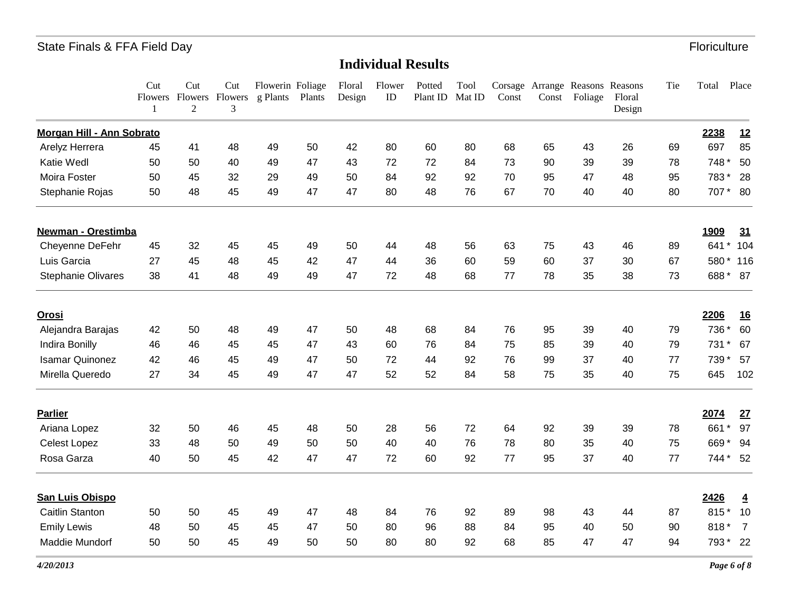|                           | Cut<br>Flowers<br>1 | Cut<br>Flowers<br>$\overline{2}$ | Cut<br>Flowers<br>3 | Flowerin Foliage<br>g Plants | Plants | Floral<br>Design | Flower<br>ID | Potted<br>Plant ID | Tool<br>Mat ID | Const | Const | Corsage Arrange Reasons Reasons<br>Foliage | Floral<br>Design | Tie | Total | Place                   |
|---------------------------|---------------------|----------------------------------|---------------------|------------------------------|--------|------------------|--------------|--------------------|----------------|-------|-------|--------------------------------------------|------------------|-----|-------|-------------------------|
| Morgan Hill - Ann Sobrato |                     |                                  |                     |                              |        |                  |              |                    |                |       |       |                                            |                  |     | 2238  | 12                      |
| Arelyz Herrera            | 45                  | 41                               | 48                  | 49                           | 50     | 42               | 80           | 60                 | 80             | 68    | 65    | 43                                         | 26               | 69  | 697   | 85                      |
| Katie Wedl                | 50                  | 50                               | 40                  | 49                           | 47     | 43               | 72           | 72                 | 84             | 73    | 90    | 39                                         | 39               | 78  | 748 * | 50                      |
| Moira Foster              | 50                  | 45                               | 32                  | 29                           | 49     | 50               | 84           | 92                 | 92             | 70    | 95    | 47                                         | 48               | 95  | 783*  | 28                      |
| Stephanie Rojas           | 50                  | 48                               | 45                  | 49                           | 47     | 47               | 80           | 48                 | 76             | 67    | 70    | 40                                         | 40               | 80  | 707 * | - 80                    |
| <b>Newman - Orestimba</b> |                     |                                  |                     |                              |        |                  |              |                    |                |       |       |                                            |                  |     | 1909  | 31                      |
| Cheyenne DeFehr           | 45                  | 32                               | 45                  | 45                           | 49     | 50               | 44           | 48                 | 56             | 63    | 75    | 43                                         | 46               | 89  | 641   | $\star$<br>104          |
| Luis Garcia               | 27                  | 45                               | 48                  | 45                           | 42     | 47               | 44           | 36                 | 60             | 59    | 60    | 37                                         | 30               | 67  | 580*  | 116                     |
| <b>Stephanie Olivares</b> | 38                  | 41                               | 48                  | 49                           | 49     | 47               | 72           | 48                 | 68             | 77    | 78    | 35                                         | 38               | 73  | 688*  | 87                      |
| <u>Orosi</u>              |                     |                                  |                     |                              |        |                  |              |                    |                |       |       |                                            |                  |     | 2206  | <u>16</u>               |
| Alejandra Barajas         | 42                  | 50                               | 48                  | 49                           | 47     | 50               | 48           | 68                 | 84             | 76    | 95    | 39                                         | 40               | 79  | 736 * | 60                      |
| Indira Bonilly            | 46                  | 46                               | 45                  | 45                           | 47     | 43               | 60           | 76                 | 84             | 75    | 85    | 39                                         | 40               | 79  | 731   | 67<br>$^\star$          |
| <b>Isamar Quinonez</b>    | 42                  | 46                               | 45                  | 49                           | 47     | 50               | 72           | 44                 | 92             | 76    | 99    | 37                                         | 40               | 77  | 739 * | 57                      |
| Mirella Queredo           | 27                  | 34                               | 45                  | 49                           | 47     | 47               | 52           | 52                 | 84             | 58    | 75    | 35                                         | 40               | 75  | 645   | 102                     |
| <b>Parlier</b>            |                     |                                  |                     |                              |        |                  |              |                    |                |       |       |                                            |                  |     | 2074  | 27                      |
| Ariana Lopez              | 32                  | 50                               | 46                  | 45                           | 48     | 50               | 28           | 56                 | 72             | 64    | 92    | 39                                         | 39               | 78  | 661   | $\ast$<br>97            |
| <b>Celest Lopez</b>       | 33                  | 48                               | 50                  | 49                           | 50     | 50               | 40           | 40                 | 76             | 78    | 80    | 35                                         | 40               | 75  | 669   | 94                      |
| Rosa Garza                | 40                  | 50                               | 45                  | 42                           | 47     | 47               | 72           | 60                 | 92             | 77    | 95    | 37                                         | 40               | 77  | 744 * | 52                      |
| <b>San Luis Obispo</b>    |                     |                                  |                     |                              |        |                  |              |                    |                |       |       |                                            |                  |     | 2426  | $\overline{\mathbf{4}}$ |
| <b>Caitlin Stanton</b>    | 50                  | 50                               | 45                  | 49                           | 47     | 48               | 84           | 76                 | 92             | 89    | 98    | 43                                         | 44               | 87  | 815*  | 10                      |
| <b>Emily Lewis</b>        | 48                  | 50                               | 45                  | 45                           | 47     | 50               | 80           | 96                 | 88             | 84    | 95    | 40                                         | 50               | 90  | 818*  | $\overline{7}$          |
| Maddie Mundorf            | 50                  | 50                               | 45                  | 49                           | 50     | 50               | 80           | 80                 | 92             | 68    | 85    | 47                                         | 47               | 94  | 793*  | - 22                    |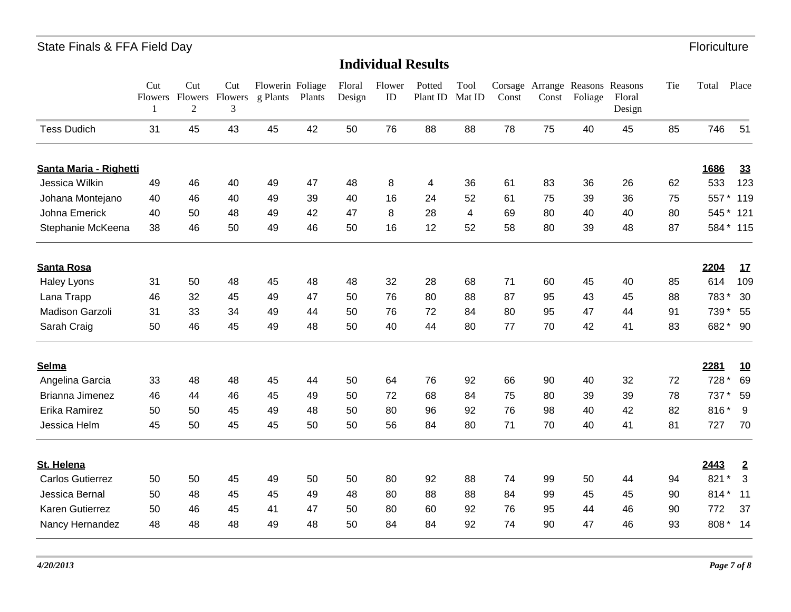|                         | Cut<br>1 | Cut<br>Flowers Flowers Flowers<br>$\mathfrak{2}$ | Cut<br>3 | Flowerin Foliage<br>g Plants | Plants | Floral<br>Design | Flower<br>ID | Potted<br>Plant ID | Tool<br>Mat ID | Const | Const | Corsage Arrange Reasons Reasons<br>Foliage | Floral<br>Design | Tie | Total | Place          |
|-------------------------|----------|--------------------------------------------------|----------|------------------------------|--------|------------------|--------------|--------------------|----------------|-------|-------|--------------------------------------------|------------------|-----|-------|----------------|
| <b>Tess Dudich</b>      | 31       | 45                                               | 43       | 45                           | 42     | 50               | 76           | 88                 | 88             | 78    | 75    | 40                                         | 45               | 85  | 746   | 51             |
| Santa Maria - Righetti  |          |                                                  |          |                              |        |                  |              |                    |                |       |       |                                            |                  |     | 1686  | 33             |
| Jessica Wilkin          | 49       | 46                                               | 40       | 49                           | 47     | 48               | 8            | 4                  | 36             | 61    | 83    | 36                                         | 26               | 62  | 533   | 123            |
| Johana Montejano        | 40       | 46                                               | 40       | 49                           | 39     | 40               | 16           | 24                 | 52             | 61    | 75    | 39                                         | 36               | 75  | 557   | 119            |
| Johna Emerick           | 40       | 50                                               | 48       | 49                           | 42     | 47               | 8            | 28                 | $\overline{4}$ | 69    | 80    | 40                                         | 40               | 80  | 545   | $\star$<br>121 |
| Stephanie McKeena       | 38       | 46                                               | 50       | 49                           | 46     | 50               | 16           | 12                 | 52             | 58    | 80    | 39                                         | 48               | 87  |       | 584 * 115      |
| <b>Santa Rosa</b>       |          |                                                  |          |                              |        |                  |              |                    |                |       |       |                                            |                  |     | 2204  | 17             |
| Haley Lyons             | 31       | 50                                               | 48       | 45                           | 48     | 48               | 32           | 28                 | 68             | 71    | 60    | 45                                         | 40               | 85  | 614   | 109            |
| Lana Trapp              | 46       | 32                                               | 45       | 49                           | 47     | 50               | 76           | 80                 | 88             | 87    | 95    | 43                                         | 45               | 88  | 783*  | 30             |
| <b>Madison Garzoli</b>  | 31       | 33                                               | 34       | 49                           | 44     | 50               | 76           | 72                 | 84             | 80    | 95    | 47                                         | 44               | 91  | 739   | 55             |
| Sarah Craig             | 50       | 46                                               | 45       | 49                           | 48     | 50               | 40           | 44                 | 80             | 77    | 70    | 42                                         | 41               | 83  | 682*  | 90             |
| Selma                   |          |                                                  |          |                              |        |                  |              |                    |                |       |       |                                            |                  |     | 2281  | <u>10</u>      |
| Angelina Garcia         | 33       | 48                                               | 48       | 45                           | 44     | 50               | 64           | 76                 | 92             | 66    | 90    | 40                                         | 32               | 72  | 728 * | 69             |
| Brianna Jimenez         | 46       | 44                                               | 46       | 45                           | 49     | 50               | 72           | 68                 | 84             | 75    | 80    | 39                                         | 39               | 78  | 737 * | 59             |
| Erika Ramirez           | 50       | 50                                               | 45       | 49                           | 48     | 50               | 80           | 96                 | 92             | 76    | 98    | 40                                         | 42               | 82  | 816*  | 9              |
| Jessica Helm            | 45       | 50                                               | 45       | 45                           | 50     | 50               | 56           | 84                 | 80             | 71    | 70    | 40                                         | 41               | 81  | 727   | 70             |
| St. Helena              |          |                                                  |          |                              |        |                  |              |                    |                |       |       |                                            |                  |     | 2443  | $\overline{2}$ |
| <b>Carlos Gutierrez</b> | 50       | 50                                               | 45       | 49                           | 50     | 50               | 80           | 92                 | 88             | 74    | 99    | 50                                         | 44               | 94  | 821   | 3              |
| Jessica Bernal          | 50       | 48                                               | 45       | 45                           | 49     | 48               | 80           | 88                 | 88             | 84    | 99    | 45                                         | 45               | 90  | 814   | 11             |
| Karen Gutierrez         | 50       | 46                                               | 45       | 41                           | 47     | 50               | 80           | 60                 | 92             | 76    | 95    | 44                                         | 46               | 90  | 772   | 37             |
| Nancy Hernandez         | 48       | 48                                               | 48       | 49                           | 48     | 50               | 84           | 84                 | 92             | 74    | 90    | 47                                         | 46               | 93  | 808 * | 14             |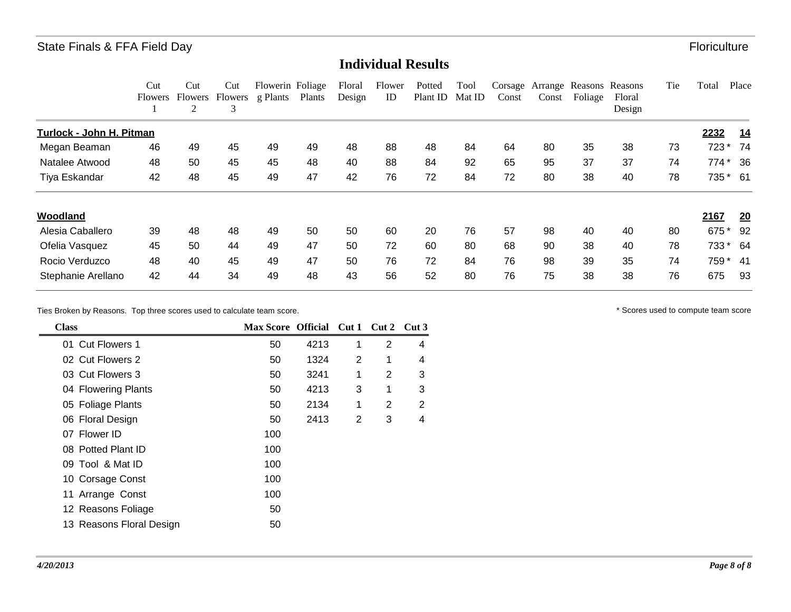#### **Individual Results**

|                          | Cut<br><b>Flowers</b> | Cut<br><b>Flowers</b><br>2 | Cut<br>Flowers<br>3 | Flowerin Foliage<br>g Plants | Plants | Floral<br>Design | Flower<br>ID | Potted<br>Plant ID | Tool<br>Mat ID | Corsage<br>Const | Arrange<br>Const | Foliage | Reasons Reasons<br>Floral<br>Design | Tie | Total    | Place      |
|--------------------------|-----------------------|----------------------------|---------------------|------------------------------|--------|------------------|--------------|--------------------|----------------|------------------|------------------|---------|-------------------------------------|-----|----------|------------|
| Turlock - John H. Pitman |                       |                            |                     |                              |        |                  |              |                    |                |                  |                  |         |                                     |     | 2232     | <u> 14</u> |
| Megan Beaman             | 46                    | 49                         | 45                  | 49                           | 49     | 48               | 88           | 48                 | 84             | 64               | 80               | 35      | 38                                  | 73  | 723 *    | -74        |
| Natalee Atwood           | 48                    | 50                         | 45                  | 45                           | 48     | 40               | 88           | 84                 | 92             | 65               | 95               | 37      | 37                                  | 74  | $774*$   | 36         |
| Tiya Eskandar            | 42                    | 48                         | 45                  | 49                           | 47     | 42               | 76           | 72                 | 84             | 72               | 80               | 38      | 40                                  | 78  | 735 * 61 |            |
| Woodland                 |                       |                            |                     |                              |        |                  |              |                    |                |                  |                  |         |                                     |     | 2167     | 20         |
| Alesia Caballero         | 39                    | 48                         | 48                  | 49                           | 50     | 50               | 60           | 20                 | 76             | 57               | 98               | 40      | 40                                  | 80  | 675      | 92         |
| Ofelia Vasquez           | 45                    | 50                         | 44                  | 49                           | 47     | 50               | 72           | 60                 | 80             | 68               | 90               | 38      | 40                                  | 78  | 733 *    | 64         |
| Rocio Verduzco           | 48                    | 40                         | 45                  | 49                           | 47     | 50               | 76           | 72                 | 84             | 76               | 98               | 39      | 35                                  | 74  | 759 *    | -41        |
| Stephanie Arellano       | 42                    | 44                         | 34                  | 49                           | 48     | 43               | 56           | 52                 | 80             | 76               | 75               | 38      | 38                                  | 76  | 675      | 93         |

Ties Broken by Reasons. Top three scores used to calculate team score.  $\blacksquare$ 

| <b>Class</b>             | Max Score Official Cut 1 Cut 2 Cut 3 |      |   |                |   |
|--------------------------|--------------------------------------|------|---|----------------|---|
| 01 Cut Flowers 1         | 50                                   | 4213 | 1 | $\overline{2}$ | 4 |
| 02 Cut Flowers 2         | 50                                   | 1324 | 2 | 1              | 4 |
| 03 Cut Flowers 3         | 50                                   | 3241 | 1 | 2              | 3 |
| 04 Flowering Plants      | 50                                   | 4213 | 3 | 1              | 3 |
| 05 Foliage Plants        | 50                                   | 2134 | 1 | 2              | 2 |
| 06 Floral Design         | 50                                   | 2413 | 2 | 3              | 4 |
| 07 Flower ID             | 100                                  |      |   |                |   |
| 08 Potted Plant ID       | 100                                  |      |   |                |   |
| 09 Tool & Mat ID         | 100                                  |      |   |                |   |
| 10 Corsage Const         | 100                                  |      |   |                |   |
| 11 Arrange Const         | 100                                  |      |   |                |   |
| 12 Reasons Foliage       | 50                                   |      |   |                |   |
| 13 Reasons Floral Design | 50                                   |      |   |                |   |
|                          |                                      |      |   |                |   |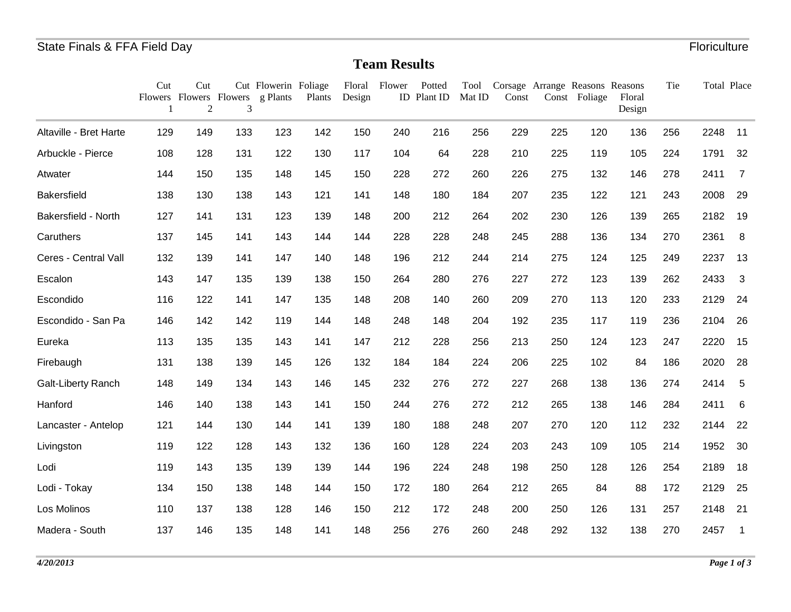## **Team Results**

|                           | Cut<br>1 | Cut<br>$\overline{2}$ | 3   | Cut Flowerin Foliage<br>Flowers Flowers Flowers g Plants | Plants | Design | Floral Flower | Potted<br>ID Plant ID | Tool<br>Mat ID | Const |     | Corsage Arrange Reasons Reasons<br>Const Foliage | Floral<br>Design | Tie | Total Place |                          |
|---------------------------|----------|-----------------------|-----|----------------------------------------------------------|--------|--------|---------------|-----------------------|----------------|-------|-----|--------------------------------------------------|------------------|-----|-------------|--------------------------|
| Altaville - Bret Harte    | 129      | 149                   | 133 | 123                                                      | 142    | 150    | 240           | 216                   | 256            | 229   | 225 | 120                                              | 136              | 256 | 2248        | 11                       |
| Arbuckle - Pierce         | 108      | 128                   | 131 | 122                                                      | 130    | 117    | 104           | 64                    | 228            | 210   | 225 | 119                                              | 105              | 224 | 1791        | 32                       |
| Atwater                   | 144      | 150                   | 135 | 148                                                      | 145    | 150    | 228           | 272                   | 260            | 226   | 275 | 132                                              | 146              | 278 | 2411        | $\overline{7}$           |
| Bakersfield               | 138      | 130                   | 138 | 143                                                      | 121    | 141    | 148           | 180                   | 184            | 207   | 235 | 122                                              | 121              | 243 | 2008        | 29                       |
| Bakersfield - North       | 127      | 141                   | 131 | 123                                                      | 139    | 148    | 200           | 212                   | 264            | 202   | 230 | 126                                              | 139              | 265 | 2182        | 19                       |
| Caruthers                 | 137      | 145                   | 141 | 143                                                      | 144    | 144    | 228           | 228                   | 248            | 245   | 288 | 136                                              | 134              | 270 | 2361        | 8                        |
| Ceres - Central Vall      | 132      | 139                   | 141 | 147                                                      | 140    | 148    | 196           | 212                   | 244            | 214   | 275 | 124                                              | 125              | 249 | 2237        | 13                       |
| Escalon                   | 143      | 147                   | 135 | 139                                                      | 138    | 150    | 264           | 280                   | 276            | 227   | 272 | 123                                              | 139              | 262 | 2433        | 3                        |
| Escondido                 | 116      | 122                   | 141 | 147                                                      | 135    | 148    | 208           | 140                   | 260            | 209   | 270 | 113                                              | 120              | 233 | 2129        | 24                       |
| Escondido - San Pa        | 146      | 142                   | 142 | 119                                                      | 144    | 148    | 248           | 148                   | 204            | 192   | 235 | 117                                              | 119              | 236 | 2104        | 26                       |
| Eureka                    | 113      | 135                   | 135 | 143                                                      | 141    | 147    | 212           | 228                   | 256            | 213   | 250 | 124                                              | 123              | 247 | 2220        | 15                       |
| Firebaugh                 | 131      | 138                   | 139 | 145                                                      | 126    | 132    | 184           | 184                   | 224            | 206   | 225 | 102                                              | 84               | 186 | 2020        | 28                       |
| <b>Galt-Liberty Ranch</b> | 148      | 149                   | 134 | 143                                                      | 146    | 145    | 232           | 276                   | 272            | 227   | 268 | 138                                              | 136              | 274 | 2414        | 5                        |
| Hanford                   | 146      | 140                   | 138 | 143                                                      | 141    | 150    | 244           | 276                   | 272            | 212   | 265 | 138                                              | 146              | 284 | 2411        | 6                        |
| Lancaster - Antelop       | 121      | 144                   | 130 | 144                                                      | 141    | 139    | 180           | 188                   | 248            | 207   | 270 | 120                                              | 112              | 232 | 2144        | 22                       |
| Livingston                | 119      | 122                   | 128 | 143                                                      | 132    | 136    | 160           | 128                   | 224            | 203   | 243 | 109                                              | 105              | 214 | 1952        | 30                       |
| Lodi                      | 119      | 143                   | 135 | 139                                                      | 139    | 144    | 196           | 224                   | 248            | 198   | 250 | 128                                              | 126              | 254 | 2189        | 18                       |
| Lodi - Tokay              | 134      | 150                   | 138 | 148                                                      | 144    | 150    | 172           | 180                   | 264            | 212   | 265 | 84                                               | 88               | 172 | 2129        | 25                       |
| Los Molinos               | 110      | 137                   | 138 | 128                                                      | 146    | 150    | 212           | 172                   | 248            | 200   | 250 | 126                                              | 131              | 257 | 2148        | 21                       |
| Madera - South            | 137      | 146                   | 135 | 148                                                      | 141    | 148    | 256           | 276                   | 260            | 248   | 292 | 132                                              | 138              | 270 | 2457        | $\overline{\phantom{0}}$ |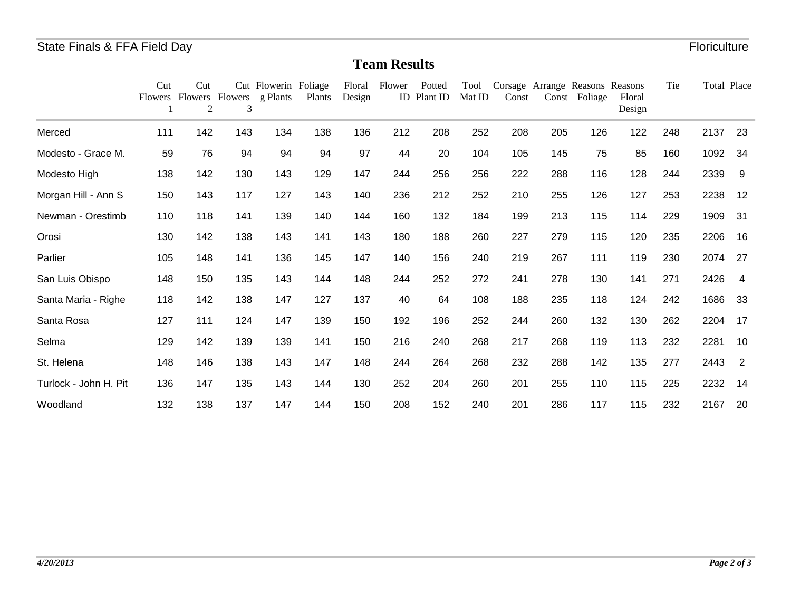## **Team Results**

|                       | Cut | Cut<br>2 | Flowers Flowers Flowers<br>3 | Cut Flowerin Foliage<br>g Plants | Plants | Floral<br>Design | Flower | Potted<br>ID Plant ID | Tool<br>Mat ID | Const |     | Corsage Arrange Reasons Reasons<br>Const Foliage | Floral<br>Design | Tie | Total Place |                |
|-----------------------|-----|----------|------------------------------|----------------------------------|--------|------------------|--------|-----------------------|----------------|-------|-----|--------------------------------------------------|------------------|-----|-------------|----------------|
| Merced                | 111 | 142      | 143                          | 134                              | 138    | 136              | 212    | 208                   | 252            | 208   | 205 | 126                                              | 122              | 248 | 2137        | 23             |
| Modesto - Grace M.    | 59  | 76       | 94                           | 94                               | 94     | 97               | 44     | 20                    | 104            | 105   | 145 | 75                                               | 85               | 160 | 1092        | 34             |
| Modesto High          | 138 | 142      | 130                          | 143                              | 129    | 147              | 244    | 256                   | 256            | 222   | 288 | 116                                              | 128              | 244 | 2339        | -9             |
| Morgan Hill - Ann S   | 150 | 143      | 117                          | 127                              | 143    | 140              | 236    | 212                   | 252            | 210   | 255 | 126                                              | 127              | 253 | 2238        | 12             |
| Newman - Orestimb     | 110 | 118      | 141                          | 139                              | 140    | 144              | 160    | 132                   | 184            | 199   | 213 | 115                                              | 114              | 229 | 1909        | 31             |
| Orosi                 | 130 | 142      | 138                          | 143                              | 141    | 143              | 180    | 188                   | 260            | 227   | 279 | 115                                              | 120              | 235 | 2206        | 16             |
| Parlier               | 105 | 148      | 141                          | 136                              | 145    | 147              | 140    | 156                   | 240            | 219   | 267 | 111                                              | 119              | 230 | 2074        | 27             |
| San Luis Obispo       | 148 | 150      | 135                          | 143                              | 144    | 148              | 244    | 252                   | 272            | 241   | 278 | 130                                              | 141              | 271 | 2426        | $\overline{4}$ |
| Santa Maria - Righe   | 118 | 142      | 138                          | 147                              | 127    | 137              | 40     | 64                    | 108            | 188   | 235 | 118                                              | 124              | 242 | 1686        | 33             |
| Santa Rosa            | 127 | 111      | 124                          | 147                              | 139    | 150              | 192    | 196                   | 252            | 244   | 260 | 132                                              | 130              | 262 | 2204        | 17             |
| Selma                 | 129 | 142      | 139                          | 139                              | 141    | 150              | 216    | 240                   | 268            | 217   | 268 | 119                                              | 113              | 232 | 2281        | 10             |
| St. Helena            | 148 | 146      | 138                          | 143                              | 147    | 148              | 244    | 264                   | 268            | 232   | 288 | 142                                              | 135              | 277 | 2443        | $\overline{2}$ |
| Turlock - John H. Pit | 136 | 147      | 135                          | 143                              | 144    | 130              | 252    | 204                   | 260            | 201   | 255 | 110                                              | 115              | 225 | 2232        | 14             |
| Woodland              | 132 | 138      | 137                          | 147                              | 144    | 150              | 208    | 152                   | 240            | 201   | 286 | 117                                              | 115              | 232 | 2167        | 20             |